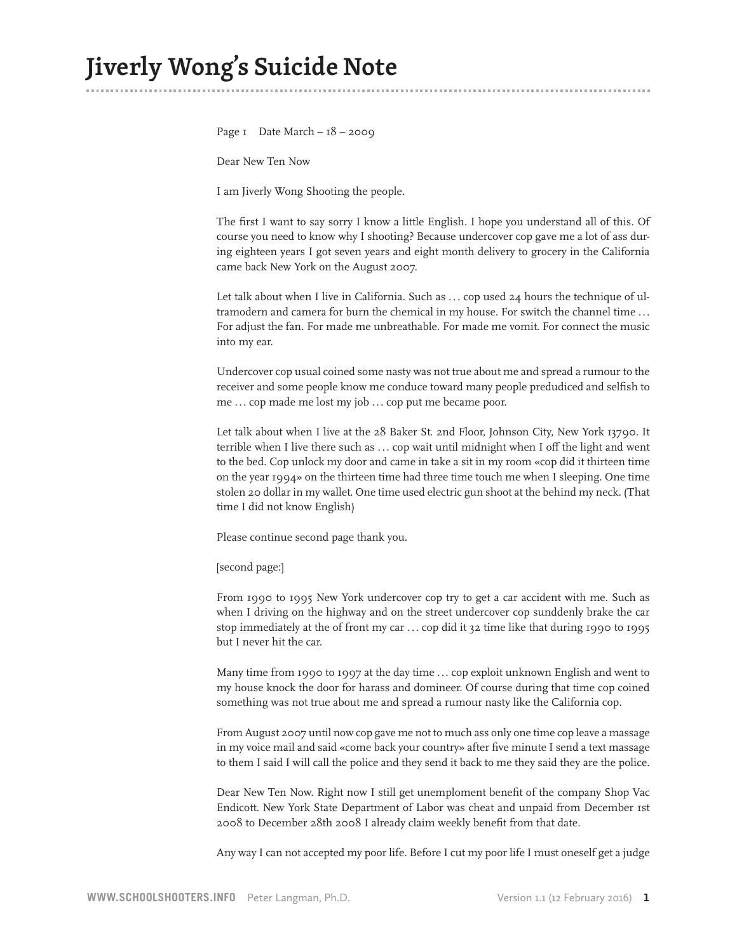Page  $I$  Date March –  $I8 - 2009$ 

Dear New Ten Now

I am Jiverly Wong Shooting the people.

The first I want to say sorry I know a little English. I hope you understand all of this. Of course you need to know why I shooting? Because undercover cop gave me a lot of ass during eighteen years I got seven years and eight month delivery to grocery in the California came back New York on the August 2007.

Let talk about when I live in California. Such as ... cop used 24 hours the technique of ultramodern and camera for burn the chemical in my house. For switch the channel time ... For adjust the fan. For made me unbreathable. For made me vomit. For connect the music into my ear.

Undercover cop usual coined some nasty was not true about me and spread a rumour to the receiver and some people know me conduce toward many people predudiced and selfish to me ... cop made me lost my job ... cop put me became poor.

Let talk about when I live at the 28 Baker St. 2nd Floor, Johnson City, New York 13790. It terrible when I live there such as . . . cop wait until midnight when I off the light and went to the bed. Cop unlock my door and came in take a sit in my room «cop did it thirteen time on the year 1994» on the thirteen time had three time touch me when I sleeping. One time stolen 20 dollar in my wallet. One time used electric gun shoot at the behind my neck. (That time I did not know English)

Please continue second page thank you.

[second page:]

From 1990 to 1995 New York undercover cop try to get a car accident with me. Such as when I driving on the highway and on the street undercover cop sunddenly brake the car stop immediately at the of front my car . . . cop did it 32 time like that during 1990 to 1995 but I never hit the car.

Many time from 1990 to 1997 at the day time ... cop exploit unknown English and went to my house knock the door for harass and domineer. Of course during that time cop coined something was not true about me and spread a rumour nasty like the California cop.

From August 2007 until now cop gave me not to much ass only one time cop leave a massage in my voice mail and said «come back your country» after five minute I send a text massage to them I said I will call the police and they send it back to me they said they are the police.

Dear New Ten Now. Right now I still get unemploment benefit of the company Shop Vac Endicott. New York State Department of Labor was cheat and unpaid from December 1st 2008 to December 28th 2008 I already claim weekly benefit from that date.

Any way I can not accepted my poor life. Before I cut my poor life I must oneself get a judge